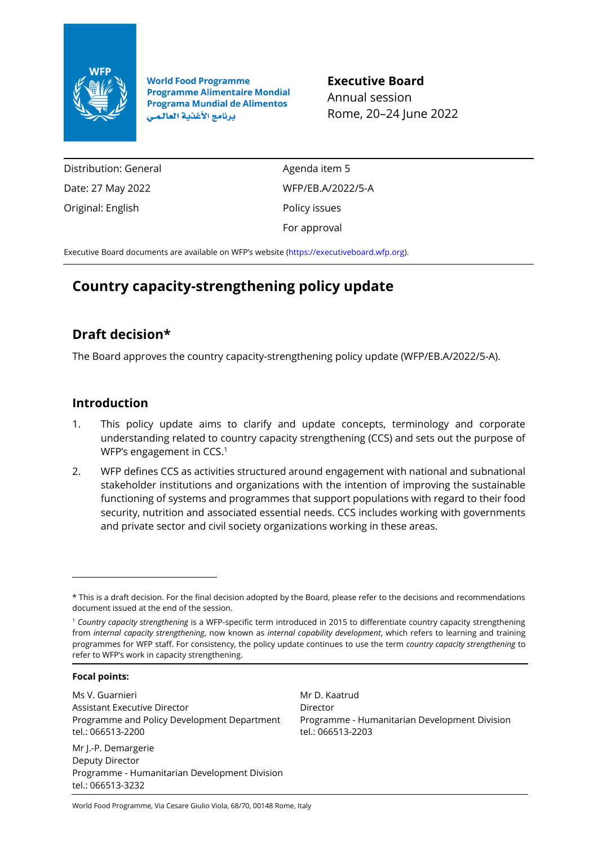

**World Food Programme Programme Alimentaire Mondial Programa Mundial de Alimentos** برنامج الأغذية العالمي

**Executive Board** Annual session Rome, 20–24 June 2022

Distribution: General Date: 27 May 2022 Original: English

Agenda item 5 WFP/EB.A/2022/5-A Policy issues For approval

Executive Board documents are available on WFP's website [\(https://executiveboard.wfp.org\)](https://executiveboard.wfp.org/).

# **Country capacity-strengthening policy update**

## **Draft decision\***

The Board approves the country capacity-strengthening policy update (WFP/EB.A/2022/5-A).

## **Introduction**

- 1. This policy update aims to clarify and update concepts, terminology and corporate understanding related to country capacity strengthening (CCS) and sets out the purpose of WFP's engagement in CCS.<sup>1</sup>
- 2. WFP defines CCS as activities structured around engagement with national and subnational stakeholder institutions and organizations with the intention of improving the sustainable functioning of systems and programmes that support populations with regard to their food security, nutrition and associated essential needs. CCS includes working with governments and private sector and civil society organizations working in these areas.

#### **Focal points:**

tel.: 066513-3232

Ms V. Guarnieri Assistant Executive Director Programme and Policy Development Department tel.: 066513-2200

Mr J.-P. Demargerie Deputy Director Programme - Humanitarian Development Division

Mr D. Kaatrud Director Programme - Humanitarian Development Division tel.: 066513-2203

<sup>\*</sup> This is a draft decision. For the final decision adopted by the Board, please refer to the decisions and recommendations document issued at the end of the session.

<sup>1</sup> *Country capacity strengthening* is a WFP-specific term introduced in 2015 to differentiate country capacity strengthening from *internal capacity strengthening*, now known as *internal capability development*, which refers to learning and training programmes for WFP staff. For consistency, the policy update continues to use the term *country capacity strengthening* to refer to WFP's work in capacity strengthening.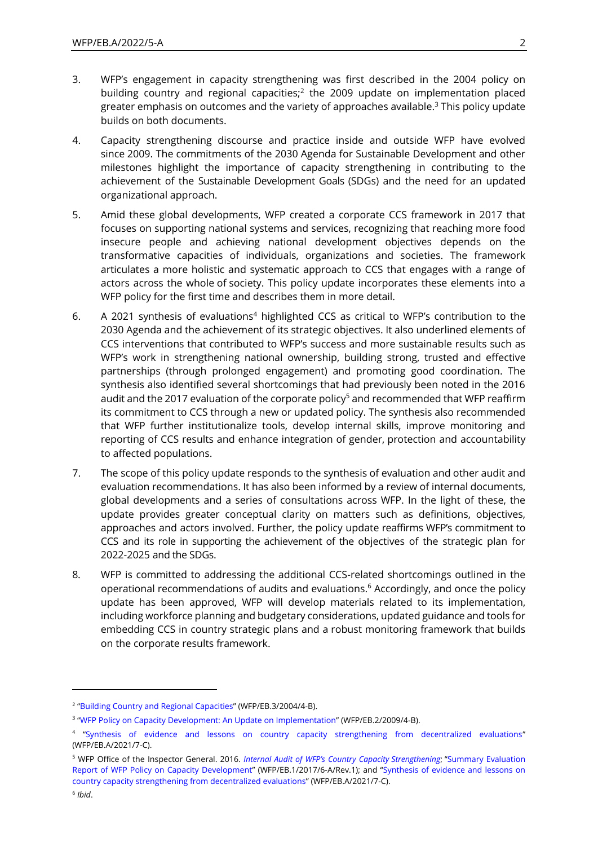- 3. WFP's engagement in capacity strengthening was first described in the 2004 policy on building country and regional capacities;<sup>2</sup> the 2009 update on implementation placed greater emphasis on outcomes and the variety of approaches available.<sup>3</sup> This policy update builds on both documents.
- 4. Capacity strengthening discourse and practice inside and outside WFP have evolved since 2009. The commitments of the 2030 Agenda for Sustainable Development and other milestones highlight the importance of capacity strengthening in contributing to the achievement of the Sustainable Development Goals (SDGs) and the need for an updated organizational approach.
- 5. Amid these global developments, WFP created a corporate CCS framework in 2017 that focuses on supporting national systems and services, recognizing that reaching more food insecure people and achieving national development objectives depends on the transformative capacities of individuals, organizations and societies. The framework articulates a more holistic and systematic approach to CCS that engages with a range of actors across the whole of society. This policy update incorporates these elements into a WFP policy for the first time and describes them in more detail.
- 6. A 2021 synthesis of evaluations<sup>4</sup> highlighted CCS as critical to WFP's contribution to the 2030 Agenda and the achievement of its strategic objectives. It also underlined elements of CCS interventions that contributed to WFP's success and more sustainable results such as WFP's work in strengthening national ownership, building strong, trusted and effective partnerships (through prolonged engagement) and promoting good coordination. The synthesis also identified several shortcomings that had previously been noted in the 2016 audit and the 2017 evaluation of the corporate policy<sup>5</sup> and recommended that WFP reaffirm its commitment to CCS through a new or updated policy. The synthesis also recommended that WFP further institutionalize tools, develop internal skills, improve monitoring and reporting of CCS results and enhance integration of gender, protection and accountability to affected populations.
- 7. The scope of this policy update responds to the synthesis of evaluation and other audit and evaluation recommendations. It has also been informed by a review of internal documents, global developments and a series of consultations across WFP. In the light of these, the update provides greater conceptual clarity on matters such as definitions, objectives, approaches and actors involved. Further, the policy update reaffirms WFP's commitment to CCS and its role in supporting the achievement of the objectives of the strategic plan for 2022-2025 and the SDGs.
- 8. WFP is committed to addressing the additional CCS-related shortcomings outlined in the operational recommendations of audits and evaluations.<sup>6</sup> Accordingly, and once the policy update has been approved, WFP will develop materials related to its implementation, including workforce planning and budgetary considerations, updated guidance and tools for embedding CCS in country strategic plans and a robust monitoring framework that builds on the corporate results framework.

<sup>&</sup>lt;sup>2</sup> "[Building Country and Regional Capacities](https://executiveboard.wfp.org/document_download/WFP-0000029779)" (WFP/EB.3/2004/4-B).

<sup>&</sup>lt;sup>3</sup> "[WFP Policy on Capacity Development: An Update on Implementation](https://executiveboard.wfp.org/document_download/WFP-0000025707)" (WFP/EB.2/2009/4-B).

<sup>4</sup> "[Synthesis of evidence and lessons on country capacity strengthening from decentralized evaluations](https://executiveboard.wfp.org/document_download/WFP-0000127565)" (WFP/EB.A/2021/7-C).

<sup>5</sup> WFP Office of the Inspector General. 2016. *[Internal Audit of WFP's Country Capacity](https://documents.wfp.org/stellent/groups/public/documents/reports/wfp289621.pdf) Strengthening*; "[Summary Evaluation](https://docs.wfp.org/api/documents/fda761aeb5644c16a5f9a13a7bbdd7f5/download/)  [Report of WFP Policy on Capacity Development](https://docs.wfp.org/api/documents/fda761aeb5644c16a5f9a13a7bbdd7f5/download/)" (WFP/EB.1/2017/6-A/Rev.1); and "[Synthesis of evidence and lessons on](https://executiveboard.wfp.org/document_download/WFP-0000127565)  [country capacity strengthening from decentralized evaluations](https://executiveboard.wfp.org/document_download/WFP-0000127565)" (WFP/EB.A/2021/7-C). 6 *Ibid*.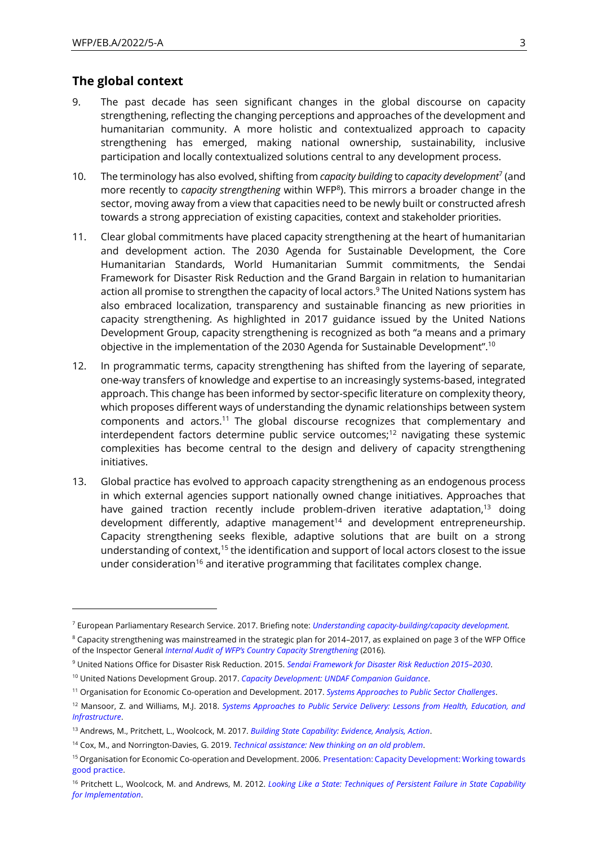#### **The global context**

- 9. The past decade has seen significant changes in the global discourse on capacity strengthening, reflecting the changing perceptions and approaches of the development and humanitarian community. A more holistic and contextualized approach to capacity strengthening has emerged, making national ownership, sustainability, inclusive participation and locally contextualized solutions central to any development process.
- 10. The terminology has also evolved, shifting from *capacity building* to *capacity development*<sup>7</sup> (and more recently to *capacity strengthening* within WFP<sup>8</sup> ). This mirrors a broader change in the sector, moving away from a view that capacities need to be newly built or constructed afresh towards a strong appreciation of existing capacities, context and stakeholder priorities.
- 11. Clear global commitments have placed capacity strengthening at the heart of humanitarian and development action. The 2030 Agenda for Sustainable Development, the Core Humanitarian Standards, World Humanitarian Summit commitments, the Sendai Framework for Disaster Risk Reduction and the Grand Bargain in relation to humanitarian action all promise to strengthen the capacity of local actors. <sup>9</sup> The United Nations system has also embraced localization, transparency and sustainable financing as new priorities in capacity strengthening. As highlighted in 2017 guidance issued by the United Nations Development Group, capacity strengthening is recognized as both "a means and a primary objective in the implementation of the 2030 Agenda for Sustainable Development".<sup>10</sup>
- 12. In programmatic terms, capacity strengthening has shifted from the layering of separate, one-way transfers of knowledge and expertise to an increasingly systems-based, integrated approach. This change has been informed by sector-specific literature on complexity theory, which proposes different ways of understanding the dynamic relationships between system components and actors.<sup>11</sup> The global discourse recognizes that complementary and interdependent factors determine public service outcomes;<sup>12</sup> navigating these systemic complexities has become central to the design and delivery of capacity strengthening initiatives.
- 13. Global practice has evolved to approach capacity strengthening as an endogenous process in which external agencies support nationally owned change initiatives. Approaches that have gained traction recently include problem-driven iterative adaptation,<sup>13</sup> doing development differently, adaptive management<sup>14</sup> and development entrepreneurship. Capacity strengthening seeks flexible, adaptive solutions that are built on a strong understanding of context, $15$  the identification and support of local actors closest to the issue under consideration<sup>16</sup> and iterative programming that facilitates complex change.

<sup>7</sup> European Parliamentary Research Service. 2017. Briefing note: *[Understanding capacity-building/capacity development.](https://www.europarl.europa.eu/RegData/etudes/BRIE/2017/599411/EPRS_BRI(2017)599411_EN.pdf)*

<sup>&</sup>lt;sup>8</sup> Capacity strengthening was mainstreamed in the strategic plan for 2014–2017, as explained on page 3 of the WFP Office of the Inspector General *[Internal Audit of WFP's Country Capacity Strengthening](https://documents.wfp.org/stellent/groups/public/documents/reports/wfp289621.pdf)* (2016).

<sup>9</sup> United Nations Office for Disaster Risk Reduction. 2015. *[Sendai Framework for Disaster Risk Reduction 2015](https://www.undrr.org/publication/sendai-framework-disaster-risk-reduction-2015-2030)–2030*.

<sup>10</sup> United Nations Development Group. 2017. *[Capacity Development: UNDAF Companion Guidance](https://unsdg.un.org/resources/capacity-development-undaf-companion-guidance)*.

<sup>11</sup> Organisation for Economic Co-operation and Development. 2017. *[Systems Approaches to Public Sector Challenges](https://www.oecd-ilibrary.org/governance/systems-approaches-to-public-sector-challenges_9789264279865-en)*.

<sup>12</sup> Mansoor, Z. and Williams, M.J. 2018. *[Systems Approaches to Public Service Delivery: Lessons from Health, Education, and](https://www.bsg.ox.ac.uk/sites/default/files/2018-06/Background%20Paper-Systems%20Approaches%20to%20Public%20Service%20Delivery%2014-15%20May%202018.pdf)  [Infrastructure](https://www.bsg.ox.ac.uk/sites/default/files/2018-06/Background%20Paper-Systems%20Approaches%20to%20Public%20Service%20Delivery%2014-15%20May%202018.pdf)*.

<sup>13</sup> Andrews, M., Pritchett, L., Woolcock, M. 2017. *[Building State Capability: Evidence, Analysis, Action](https://oxford.universitypressscholarship.com/view/10.1093/acprof:oso/9780198747482.001.0001/acprof-9780198747482)*.

<sup>14</sup> Cox, M., and Norrington-Davies, G. 2019. *Technical [assistance:](https://agulhas.co.uk/app/uploads/2020/10/OSF-Landscaping-Study-on-TA-final-version-2.pdf) New thinking on an old problem*.

<sup>15</sup> Organisation for Economic Co-operation and Development. 2006. Presentation: Capacity [Development:](https://www.oecd.org/env/outreach/40695940.pdf) Working towards good [practice.](https://www.oecd.org/env/outreach/40695940.pdf)

<sup>16</sup> Pritchett L., Woolcock, M. and Andrews, M. 2012. *Looking Like a State: [Techniques](https://gsdrc.org/document-library/looking-like-a-state-techniques-of-persistent-failure-in-state-capability-for-implementation/) of Persistent Failure in State Capability for [Implementation](https://gsdrc.org/document-library/looking-like-a-state-techniques-of-persistent-failure-in-state-capability-for-implementation/)*.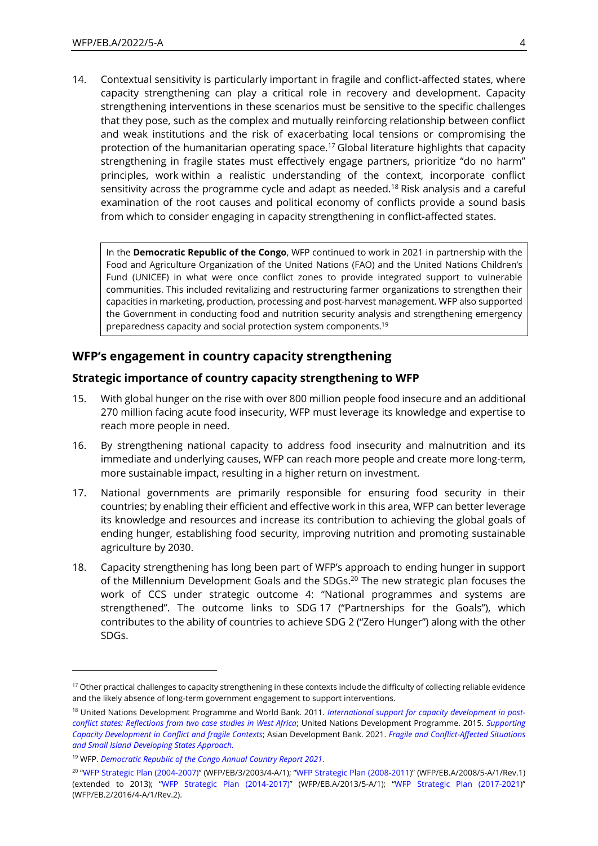14. Contextual sensitivity is particularly important in fragile and conflict-affected states, where capacity strengthening can play a critical role in recovery and development. Capacity strengthening interventions in these scenarios must be sensitive to the specific challenges that they pose, such as the complex and mutually reinforcing relationship between conflict and weak institutions and the risk of exacerbating local tensions or compromising the protection of the humanitarian operating space.<sup>17</sup> Global literature highlights that capacity strengthening in fragile states must effectively engage partners, prioritize "do no harm" principles, work within a realistic understanding of the context, incorporate conflict sensitivity across the programme cycle and adapt as needed.<sup>18</sup> Risk analysis and a careful examination of the root causes and political economy of conflicts provide a sound basis from which to consider engaging in capacity strengthening in conflict-affected states.

In the **Democratic Republic of the Congo**, WFP continued to work in 2021 in partnership with the Food and Agriculture Organization of the United Nations (FAO) and the United Nations Children's Fund (UNICEF) in what were once conflict zones to provide integrated support to vulnerable communities. This included revitalizing and restructuring farmer organizations to strengthen their capacities in marketing, production, processing and post-harvest management. WFP also supported the Government in conducting food and nutrition security analysis and strengthening emergency preparedness capacity and social protection system components.<sup>19</sup>

## **WFP's engagement in country capacity strengthening**

### **Strategic importance of country capacity strengthening to WFP**

- 15. With global hunger on the rise with over 800 million people food insecure and an additional 270 million facing acute food insecurity, WFP must leverage its knowledge and expertise to reach more people in need.
- 16. By strengthening national capacity to address food insecurity and malnutrition and its immediate and underlying causes, WFP can reach more people and create more long-term, more sustainable impact, resulting in a higher return on investment.
- 17. National governments are primarily responsible for ensuring food security in their countries; by enabling their efficient and effective work in this area, WFP can better leverage its knowledge and resources and increase its contribution to achieving the global goals of ending hunger, establishing food security, improving nutrition and promoting sustainable agriculture by 2030.
- 18. Capacity strengthening has long been part of WFP's approach to ending hunger in support of the Millennium Development Goals and the SDGs.<sup>20</sup> The new strategic plan focuses the work of CCS under strategic outcome 4: "National programmes and systems are strengthened". The outcome links to SDG 17 ("Partnerships for the Goals"), which contributes to the ability of countries to achieve SDG 2 ("Zero Hunger") along with the other SDGs.

<sup>&</sup>lt;sup>17</sup> Other practical challenges to capacity strengthening in these contexts include the difficulty of collecting reliable evidence and the likely absence of long-term government engagement to support interventions.

<sup>18</sup> United Nations Development Programme and World Bank. 2011*. [International support for capacity development in post](https://www.undp.org/publications/international-support-capacity-development-post-conflict-states-reflections-two-case)[conflict states: Reflections from two case studies in West Africa](https://www.undp.org/publications/international-support-capacity-development-post-conflict-states-reflections-two-case)*; United Nations Development Programme. 2015. *[Supporting](https://www.undp.org/publications/supporting-capacity-development-conflict-and-fragile-contexts)  [Capacity Development in Conflict and fragile Contexts](https://www.undp.org/publications/supporting-capacity-development-conflict-and-fragile-contexts)*; Asian Development Bank. 2021. *[Fragile and Conflict-Affected Situations](https://www.adb.org/documents/fragile-conflict-affected-sids-approach#:~:text=Fragile%20and%20Conflict%2DAffected%20Situations%20and%20Small%20Island%20Developing%20States%20Approach,-Institutional%20Document%20%7C%20June&text=The%20fragile%20and%20conflict%2Daffected,most%20vulnerable%20developing%20member%20countries.)  [and Small Island Developing States Approach.](https://www.adb.org/documents/fragile-conflict-affected-sids-approach#:~:text=Fragile%20and%20Conflict%2DAffected%20Situations%20and%20Small%20Island%20Developing%20States%20Approach,-Institutional%20Document%20%7C%20June&text=The%20fragile%20and%20conflict%2Daffected,most%20vulnerable%20developing%20member%20countries.)*

<sup>19</sup> WFP. *[Democratic Republic of the Congo Annual Country Report 2021](https://docs.wfp.org/api/documents/WFP-0000138022/download/?_ga=2.10343292.855915151.1650826115-1045371870.1650826115)*.

<sup>20</sup> "[WFP Strategic Plan \(2004-2007\)](https://executiveboard.wfp.org/document_download/WFP-0000030038)" (WFP/EB/3/2003/4-A/1); "[WFP Strategic Plan \(2008-2011](https://docs.wfp.org/api/documents/e5b112ba670040f285c961fa025554e6/download/))" (WFP/EB.A/2008/5-A/1/Rev.1) (extended to 2013); "[WFP Strategic Plan \(2014-2017\)](https://executiveboard.wfp.org/document_download/WFP-0000024814)" (WFP/EB.A/2013/5-A/1); "[WFP Strategic Plan \(2017-2021](https://executiveboard.wfp.org/document_download/WFP-0000037196))" (WFP/EB.2/2016/4-A/1/Rev.2).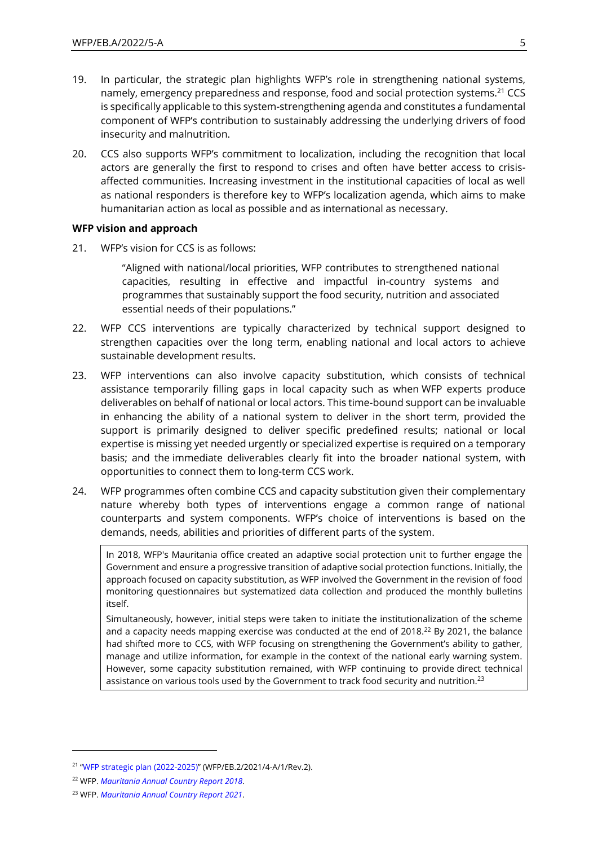- 19. In particular, the strategic plan highlights WFP's role in strengthening national systems, namely, emergency preparedness and response, food and social protection systems.<sup>21</sup> CCS is specifically applicable to this system-strengthening agenda and constitutes a fundamental component of WFP's contribution to sustainably addressing the underlying drivers of food insecurity and malnutrition.
- 20. CCS also supports WFP's commitment to localization, including the recognition that local actors are generally the first to respond to crises and often have better access to crisisaffected communities. Increasing investment in the institutional capacities of local as well as national responders is therefore key to WFP's localization agenda, which aims to make humanitarian action as local as possible and as international as necessary.

#### **WFP vision and approach**

21. WFP's vision for CCS is as follows:

"Aligned with national/local priorities, WFP contributes to strengthened national capacities, resulting in effective and impactful in-country systems and programmes that sustainably support the food security, nutrition and associated essential needs of their populations."

- 22. WFP CCS interventions are typically characterized by technical support designed to strengthen capacities over the long term, enabling national and local actors to achieve sustainable development results.
- 23. WFP interventions can also involve capacity substitution, which consists of technical assistance temporarily filling gaps in local capacity such as when WFP experts produce deliverables on behalf of national or local actors. This time-bound support can be invaluable in enhancing the ability of a national system to deliver in the short term, provided the support is primarily designed to deliver specific predefined results; national or local expertise is missing yet needed urgently or specialized expertise is required on a temporary basis; and the immediate deliverables clearly fit into the broader national system, with opportunities to connect them to long-term CCS work.
- 24. WFP programmes often combine CCS and capacity substitution given their complementary nature whereby both types of interventions engage a common range of national counterparts and system components. WFP's choice of interventions is based on the demands, needs, abilities and priorities of different parts of the system.

In 2018, WFP's Mauritania office created an adaptive social protection unit to further engage the Government and ensure a progressive transition of adaptive social protection functions. Initially, the approach focused on capacity substitution, as WFP involved the Government in the revision of food monitoring questionnaires but systematized data collection and produced the monthly bulletins itself.

Simultaneously, however, initial steps were taken to initiate the institutionalization of the scheme and a capacity needs mapping exercise was conducted at the end of 2018.<sup>22</sup> By 2021, the balance had shifted more to CCS, with WFP focusing on strengthening the Government's ability to gather, manage and utilize information, for example in the context of the national early warning system. However, some capacity substitution remained, with WFP continuing to provide direct technical assistance on various tools used by the Government to track food security and nutrition.<sup>23</sup>

<sup>21</sup> "[WFP strategic plan \(2022-2025\)](https://executiveboard.wfp.org/document_download/WFP-0000132205)" (WFP/EB.2/2021/4-A/1/Rev.2).

<sup>22</sup> WFP. *[Mauritania Annual Country Report 2018](https://docs.wfp.org/api/documents/WFP-0000104215/download/)*.

<sup>23</sup> WFP. *[Mauritania Annual Country Report 2021](https://docs.wfp.org/api/documents/WFP-0000137856/download/?_ga=2.75730771.774952971.1653466989-2005240231.1646145746)*.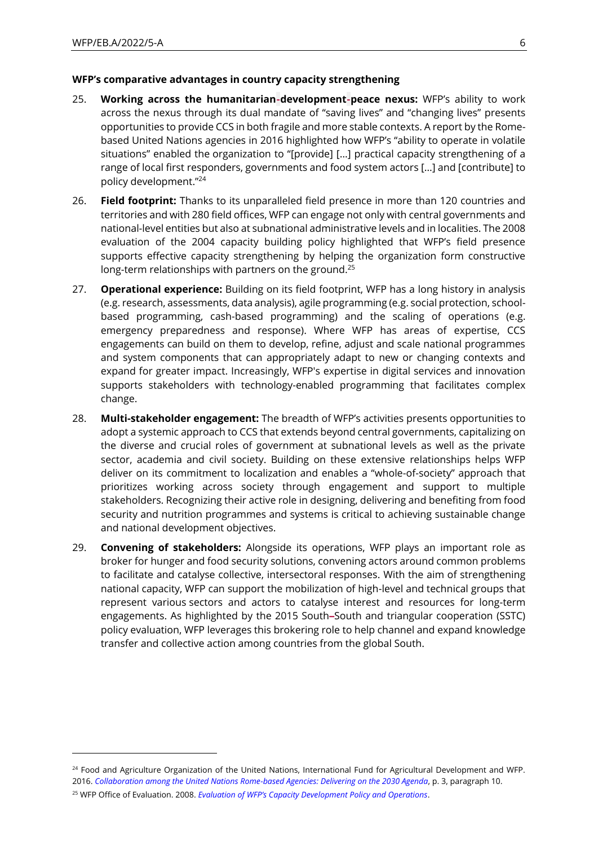#### **WFP's comparative advantages in country capacity strengthening**

- 25. **Working across the humanitarian-development-peace nexus:** WFP's ability to work across the nexus through its dual mandate of "saving lives" and "changing lives" presents opportunities to provide CCS in both fragile and more stable contexts. A report by the Romebased United Nations agencies in 2016 highlighted how WFP's "ability to operate in volatile situations" enabled the organization to "[provide] […] practical capacity strengthening of a range of local first responders, governments and food system actors […] and [contribute] to policy development."<sup>24</sup>
- 26. **Field footprint:** Thanks to its unparalleled field presence in more than 120 countries and territories and with 280 field offices, WFP can engage not only with central governments and national-level entities but also at subnational administrative levels and in localities. The 2008 evaluation of the 2004 capacity building policy highlighted that WFP's field presence supports effective capacity strengthening by helping the organization form constructive long-term relationships with partners on the ground.<sup>25</sup>
- 27. **Operational experience:** Building on its field footprint, WFP has a long history in analysis (e.g. research, assessments, data analysis), agile programming (e.g. social protection, schoolbased programming, cash-based programming) and the scaling of operations (e.g. emergency preparedness and response). Where WFP has areas of expertise, CCS engagements can build on them to develop, refine, adjust and scale national programmes and system components that can appropriately adapt to new or changing contexts and expand for greater impact. Increasingly, WFP's expertise in digital services and innovation supports stakeholders with technology-enabled programming that facilitates complex change.
- 28. **Multi-stakeholder engagement:** The breadth of WFP's activities presents opportunities to adopt a systemic approach to CCS that extends beyond central governments, capitalizing on the diverse and crucial roles of government at subnational levels as well as the private sector, academia and civil society. Building on these extensive relationships helps WFP deliver on its commitment to localization and enables a "whole-of-society" approach that prioritizes working across society through engagement and support to multiple stakeholders. Recognizing their active role in designing, delivering and benefiting from food security and nutrition programmes and systems is critical to achieving sustainable change and national development objectives.
- 29. **Convening of stakeholders:** Alongside its operations, WFP plays an important role as broker for hunger and food security solutions, convening actors around common problems to facilitate and catalyse collective, intersectoral responses. With the aim of strengthening national capacity, WFP can support the mobilization of high-level and technical groups that represent various sectors and actors to catalyse interest and resources for long-term engagements. As highlighted by the 2015 South**–**South and triangular cooperation (SSTC) policy evaluation, WFP leverages this brokering role to help channel and expand knowledge transfer and collective action among countries from the global South.

<sup>&</sup>lt;sup>24</sup> Food and Agriculture Organization of the United Nations, International Fund for Agricultural Development and WFP. 2016. *[Collaboration among the United Nations Rome-based Agencies: Delivering on the 2030 Agenda](https://documents.wfp.org/stellent/groups/public/documents/resources/wfp289117.pdf?_ga=2.39433184.259783551.1648552563-937706285.1642378413)*, p. 3, paragraph 10. <sup>25</sup> WFP Office of Evaluation. 2008. *[Evaluation of WFP's Capacity Development Policy and Operations](https://documents.wfp.org/stellent/groups/public/documents/reports/wfp216450.pdf)*.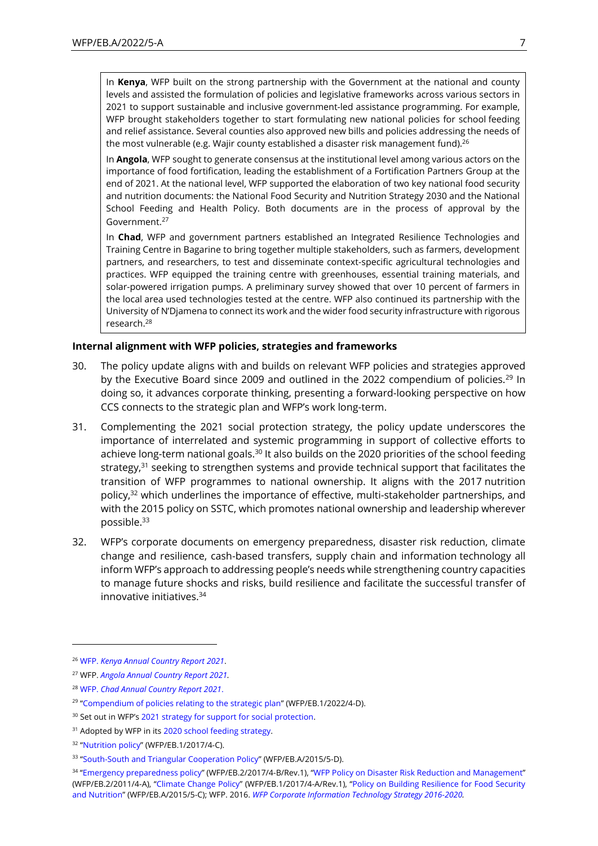In **Kenya**, WFP built on the strong partnership with the Government at the national and county levels and assisted the formulation of policies and legislative frameworks across various sectors in 2021 to support sustainable and inclusive government-led assistance programming. For example, WFP brought stakeholders together to start formulating new national policies for school feeding and relief assistance. Several counties also approved new bills and policies addressing the needs of the most vulnerable (e.g. Wajir county established a disaster risk management fund).<sup>26</sup>

In **Angola**, WFP sought to generate consensus at the institutional level among various actors on the importance of food fortification, leading the establishment of a Fortification Partners Group at the end of 2021. At the national level, WFP supported the elaboration of two key national food security and nutrition documents: the National Food Security and Nutrition Strategy 2030 and the National School Feeding and Health Policy. Both documents are in the process of approval by the Government. 27

In **Chad**, WFP and government partners established an Integrated Resilience Technologies and Training Centre in Bagarine to bring together multiple stakeholders, such as farmers, development partners, and researchers, to test and disseminate context-specific agricultural technologies and practices. WFP equipped the training centre with greenhouses, essential training materials, and solar-powered irrigation pumps. A preliminary survey showed that over 10 percent of farmers in the local area used technologies tested at the centre. WFP also continued its partnership with the University of N'Djamena to connect its work and the wider food security infrastructure with rigorous research.<sup>28</sup>

#### **Internal alignment with WFP policies, strategies and frameworks**

- 30. The policy update aligns with and builds on relevant WFP policies and strategies approved by the Executive Board since 2009 and outlined in the 2022 compendium of policies.<sup>29</sup> In doing so, it advances corporate thinking, presenting a forward-looking perspective on how CCS connects to the strategic plan and WFP's work long-term.
- 31. Complementing the 2021 social protection strategy, the policy update underscores the importance of interrelated and systemic programming in support of collective efforts to achieve long-term national goals.<sup>30</sup> It also builds on the 2020 priorities of the school feeding strategy, $31$  seeking to strengthen systems and provide technical support that facilitates the transition of WFP programmes to national ownership. It aligns with the 2017 nutrition policy,<sup>32</sup> which underlines the importance of effective, multi-stakeholder partnerships, and with the 2015 policy on SSTC, which promotes national ownership and leadership wherever possible. 33
- 32. WFP's corporate documents on emergency preparedness, disaster risk reduction, climate change and resilience, cash-based transfers, supply chain and information technology all inform WFP's approach to addressing people's needs while strengthening country capacities to manage future shocks and risks, build resilience and facilitate the successful transfer of innovative initiatives.<sup>34</sup>

<sup>26</sup> WFP. *[Kenya Annual Country Report 2021](https://docs.wfp.org/api/documents/WFP-0000137824/download/?_ga=2.44406765.855915151.1650826115-1045371870.1650826115)*.

<sup>27</sup> WFP. *[Angola Annual Country Report 2021.](https://docs.wfp.org/api/documents/WFP-0000137904/download/?_ga=2.42113260.855915151.1650826115-1045371870.1650826115)*

<sup>28</sup> WFP. *[Chad Annual Country Report 2021](https://docs.wfp.org/api/documents/WFP-0000137962/download/?_ga=2.248159694.855915151.1650826115-1045371870.1650826115)*.

<sup>&</sup>lt;sup>29</sup> "[Compendium of policies relating to the strategic plan](https://executiveboard.wfp.org/document_download/WFP-0000135900)" (WFP/EB.1/2022/4-D).

<sup>&</sup>lt;sup>30</sup> Set out in WFP's [2021 strategy for support for social protection.](https://www.wfp.org/publications/world-food-programme-strategy-support-social-protection-2021)

<sup>&</sup>lt;sup>31</sup> Adopted by WFP in its [2020 school feeding strategy.](https://www.wfp.org/publications/chance-every-schoolchild-wfp-school-feeding-strategy-2020-2030)

<sup>&</sup>lt;sup>32</sup> "[Nutrition policy](https://executiveboard.wfp.org/document_download/WFP-0000037221)" (WFP/EB.1/2017/4-C).

<sup>&</sup>lt;sup>33</sup> "[South-South and Triangular Cooperation Policy](https://executiveboard.wfp.org/document_download/WFP-0000024478)" (WFP/EB.A/2015/5-D).

<sup>34</sup> "[Emergency preparedness policy](https://executiveboard.wfp.org/document_download/WFP-0000050509)" (WFP/EB.2/2017/4-B/Rev.1), "[WFP Policy on Disaster Risk Reduction and Management](https://executiveboard.wfp.org/document_download/WFP-0000025268)" (WFP/EB.2/2011/4-A), "[Climate Change Policy](https://executiveboard.wfp.org/document_download/WFP-0000037220)" (WFP/EB.1/2017/4-A/Rev.1), "[Policy on Building Resilience for Food Security](https://executiveboard.wfp.org/document_download/WFP-0000024546)  [and Nutrition](https://executiveboard.wfp.org/document_download/WFP-0000024546)" (WFP/EB.A/2015/5-C); WFP. 2016. *WFP Corporate [Information Technology Strategy 2016-2020.](https://docs.wfp.org/api/documents/WFP-0000101495/download/)*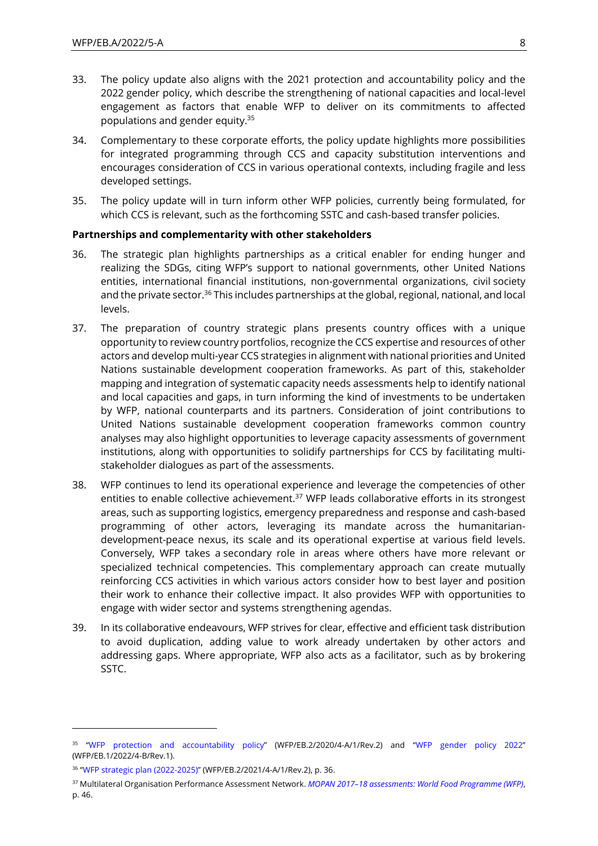- 33. The policy update also aligns with the 2021 protection and accountability policy and the 2022 gender policy, which describe the strengthening of national capacities and local-level engagement as factors that enable WFP to deliver on its commitments to affected populations and gender equity.<sup>35</sup>
- 34. Complementary to these corporate efforts, the policy update highlights more possibilities for integrated programming through CCS and capacity substitution interventions and encourages consideration of CCS in various operational contexts, including fragile and less developed settings.
- 35. The policy update will in turn inform other WFP policies, currently being formulated, for which CCS is relevant, such as the forthcoming SSTC and cash-based transfer policies.

#### **Partnerships and complementarity with other stakeholders**

- 36. The strategic plan highlights partnerships as a critical enabler for ending hunger and realizing the SDGs, citing WFP's support to national governments, other United Nations entities, international financial institutions, non-governmental organizations, civil society and the private sector.<sup>36</sup> This includes partnerships at the global, regional, national, and local levels.
- 37. The preparation of country strategic plans presents country offices with a unique opportunity to review country portfolios, recognize the CCS expertise and resources of other actors and develop multi-year CCS strategies in alignment with national priorities and United Nations sustainable development cooperation frameworks. As part of this, stakeholder mapping and integration of systematic capacity needs assessments help to identify national and local capacities and gaps, in turn informing the kind of investments to be undertaken by WFP, national counterparts and its partners. Consideration of joint contributions to United Nations sustainable development cooperation frameworks common country analyses may also highlight opportunities to leverage capacity assessments of government institutions, along with opportunities to solidify partnerships for CCS by facilitating multistakeholder dialogues as part of the assessments.
- 38. WFP continues to lend its operational experience and leverage the competencies of other entities to enable collective achievement.<sup>37</sup> WFP leads collaborative efforts in its strongest areas, such as supporting logistics, emergency preparedness and response and cash-based programming of other actors, leveraging its mandate across the humanitariandevelopment-peace nexus, its scale and its operational expertise at various field levels. Conversely, WFP takes a secondary role in areas where others have more relevant or specialized technical competencies. This complementary approach can create mutually reinforcing CCS activities in which various actors consider how to best layer and position their work to enhance their collective impact. It also provides WFP with opportunities to engage with wider sector and systems strengthening agendas.
- 39. In its collaborative endeavours, WFP strives for clear, effective and efficient task distribution to avoid duplication, adding value to work already undertaken by other actors and addressing gaps. Where appropriate, WFP also acts as a facilitator, such as by brokering SSTC.

<sup>35</sup> "[WFP protection and accountability policy](https://executiveboard.wfp.org/document_download/WFP-0000119393)" (WFP/EB.2/2020/4-A/1/Rev.2) and "[WFP gender policy](https://executiveboard.wfp.org/document_download/WFP-0000135898) 2022" (WFP/EB.1/2022/4-B/Rev.1).

<sup>36</sup> "[WFP strategic plan \(2022-2025\)](https://executiveboard.wfp.org/document_download/WFP-0000132205)" (WFP/EB.2/2021/4-A/1/Rev.2), p. 36.

<sup>37</sup> Multilateral Organisation Performance Assessment Network. *MOPAN 2017–[18 assessments: World Food Programme \(WFP\)](https://www.mopanonline.org/assessments/wfp2017-18/wfp%20report%20final.pdf)*, p. 46.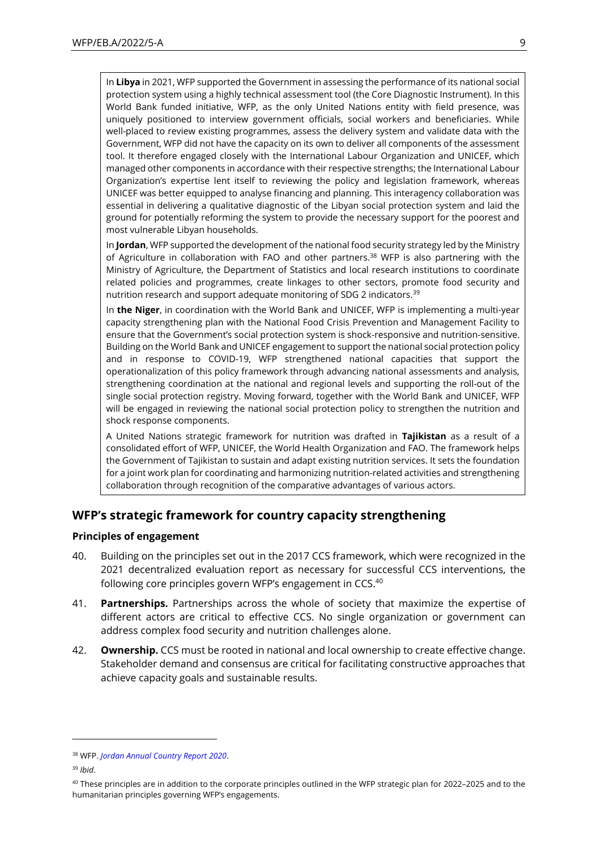In **Libya** in 2021, WFP supported the Government in assessing the performance of its national social protection system using a highly technical assessment tool (the Core Diagnostic Instrument). In this World Bank funded initiative, WFP, as the only United Nations entity with field presence, was uniquely positioned to interview government officials, social workers and beneficiaries. While well-placed to review existing programmes, assess the delivery system and validate data with the Government, WFP did not have the capacity on its own to deliver all components of the assessment tool. It therefore engaged closely with the International Labour Organization and UNICEF, which managed other components in accordance with their respective strengths; the International Labour Organization's expertise lent itself to reviewing the policy and legislation framework, whereas UNICEF was better equipped to analyse financing and planning. This interagency collaboration was essential in delivering a qualitative diagnostic of the Libyan social protection system and laid the ground for potentially reforming the system to provide the necessary support for the poorest and most vulnerable Libyan households.

In **Jordan**, WFP supported the development of the national food security strategy led by the Ministry of Agriculture in collaboration with FAO and other partners. <sup>38</sup> WFP is also partnering with the Ministry of Agriculture, the Department of Statistics and local research institutions to coordinate related policies and programmes, create linkages to other sectors, promote food security and nutrition research and support adequate monitoring of SDG 2 indicators.<sup>39</sup>

In **the Niger**, in coordination with the World Bank and UNICEF, WFP is implementing a multi-year capacity strengthening plan with the National Food Crisis Prevention and Management Facility to ensure that the Government's social protection system is shock-responsive and nutrition-sensitive. Building on the World Bank and UNICEF engagement to support the national social protection policy and in response to COVID-19, WFP strengthened national capacities that support the operationalization of this policy framework through advancing national assessments and analysis, strengthening coordination at the national and regional levels and supporting the roll-out of the single social protection registry. Moving forward, together with the World Bank and UNICEF, WFP will be engaged in reviewing the national social protection policy to strengthen the nutrition and shock response components.

A United Nations strategic framework for nutrition was drafted in **Tajikistan** as a result of a consolidated effort of WFP, UNICEF, the World Health Organization and FAO. The framework helps the Government of Tajikistan to sustain and adapt existing nutrition services. It sets the foundation for a joint work plan for coordinating and harmonizing nutrition-related activities and strengthening collaboration through recognition of the comparative advantages of various actors.

### **WFP's strategic framework for country capacity strengthening**

#### **Principles of engagement**

- 40. Building on the principles set out in the 2017 CCS framework, which were recognized in the 2021 decentralized evaluation report as necessary for successful CCS interventions, the following core principles govern WFP's engagement in CCS.<sup>40</sup>
- 41. **Partnerships.** Partnerships across the whole of society that maximize the expertise of different actors are critical to effective CCS. No single organization or government can address complex food security and nutrition challenges alone.
- 42. **Ownership.** CCS must be rooted in national and local ownership to create effective change. Stakeholder demand and consensus are critical for facilitating constructive approaches that achieve capacity goals and sustainable results.

<sup>38</sup> WFP. *[Jordan Annual Country Report 2020](https://docs.wfp.org/api/documents/WFP-0000125439/download/)*.

<sup>39</sup> *Ibid*.

 $40$  These principles are in addition to the corporate principles outlined in the WFP strategic plan for 2022–2025 and to the humanitarian principles governing WFP's engagements.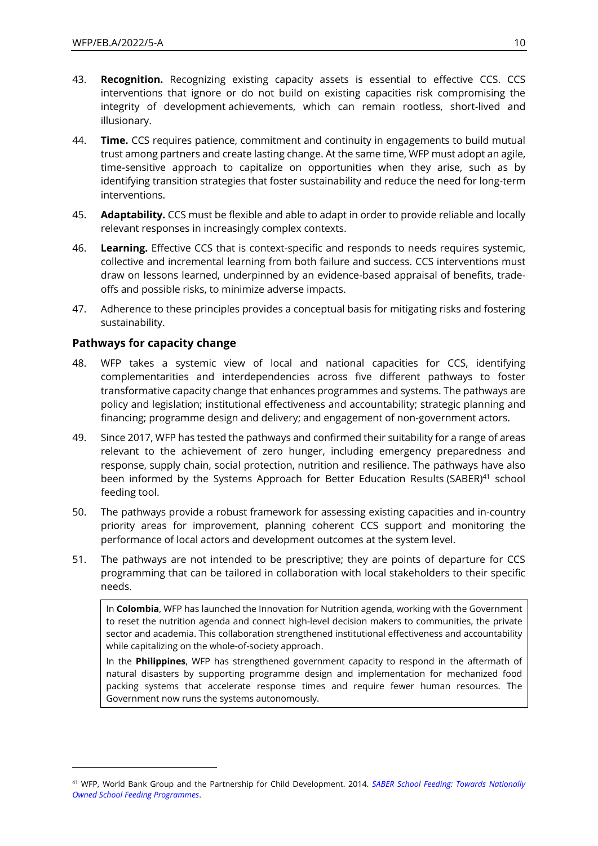- 43. **Recognition.** Recognizing existing capacity assets is essential to effective CCS. CCS interventions that ignore or do not build on existing capacities risk compromising the integrity of development achievements, which can remain rootless, short-lived and illusionary.
- 44. **Time.** CCS requires patience, commitment and continuity in engagements to build mutual trust among partners and create lasting change. At the same time, WFP must adopt an agile, time-sensitive approach to capitalize on opportunities when they arise, such as by identifying transition strategies that foster sustainability and reduce the need for long-term interventions.
- 45. **Adaptability.** CCS must be flexible and able to adapt in order to provide reliable and locally relevant responses in increasingly complex contexts.
- 46. **Learning.** Effective CCS that is context-specific and responds to needs requires systemic, collective and incremental learning from both failure and success. CCS interventions must draw on lessons learned, underpinned by an evidence-based appraisal of benefits, tradeoffs and possible risks, to minimize adverse impacts.
- 47. Adherence to these principles provides a conceptual basis for mitigating risks and fostering sustainability.

#### **Pathways for capacity change**

- 48. WFP takes a systemic view of local and national capacities for CCS, identifying complementarities and interdependencies across five different pathways to foster transformative capacity change that enhances programmes and systems. The pathways are policy and legislation; institutional effectiveness and accountability; strategic planning and financing; programme design and delivery; and engagement of non-government actors.
- 49. Since 2017, WFP has tested the pathways and confirmed their suitability for a range of areas relevant to the achievement of zero hunger, including emergency preparedness and response, supply chain, social protection, nutrition and resilience. The pathways have also been informed by the Systems Approach for Better Education Results (SABER)<sup>41</sup> school feeding tool.
- 50. The pathways provide a robust framework for assessing existing capacities and in-country priority areas for improvement, planning coherent CCS support and monitoring the performance of local actors and development outcomes at the system level.
- 51. The pathways are not intended to be prescriptive; they are points of departure for CCS programming that can be tailored in collaboration with local stakeholders to their specific needs.

In **Colombia**, WFP has launched the Innovation for Nutrition agenda, working with the Government to reset the nutrition agenda and connect high-level decision makers to communities, the private sector and academia. This collaboration strengthened institutional effectiveness and accountability while capitalizing on the whole-of-society approach.

In the **Philippines**, WFP has strengthened government capacity to respond in the aftermath of natural disasters by supporting programme design and implementation for mechanized food packing systems that accelerate response times and require fewer human resources. The Government now runs the systems autonomously.

<sup>41</sup> WFP, World Bank Group and the Partnership for Child Development. 2014. *[SABER School Feeding: Towards Nationally](https://documents.wfp.org/stellent/groups/public/documents/research/wfp273495.pdf)  [Owned School Feeding Programmes](https://documents.wfp.org/stellent/groups/public/documents/research/wfp273495.pdf)*.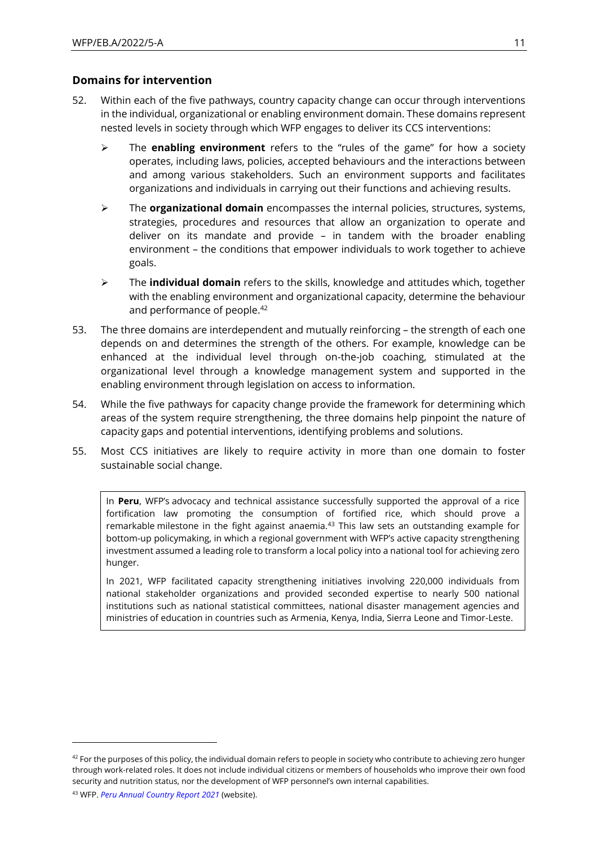### **Domains for intervention**

- 52. Within each of the five pathways, country capacity change can occur through interventions in the individual, organizational or enabling environment domain. These domains represent nested levels in society through which WFP engages to deliver its CCS interventions:
	- ➢ The **enabling environment** refers to the "rules of the game" for how a society operates, including laws, policies, accepted behaviours and the interactions between and among various stakeholders. Such an environment supports and facilitates organizations and individuals in carrying out their functions and achieving results.
	- ➢ The **organizational domain** encompasses the internal policies, structures, systems, strategies, procedures and resources that allow an organization to operate and deliver on its mandate and provide – in tandem with the broader enabling environment – the conditions that empower individuals to work together to achieve goals.
	- ➢ The **individual domain** refers to the skills, knowledge and attitudes which, together with the enabling environment and organizational capacity, determine the behaviour and performance of people.<sup>42</sup>
- 53. The three domains are interdependent and mutually reinforcing the strength of each one depends on and determines the strength of the others. For example, knowledge can be enhanced at the individual level through on-the-job coaching, stimulated at the organizational level through a knowledge management system and supported in the enabling environment through legislation on access to information.
- 54. While the five pathways for capacity change provide the framework for determining which areas of the system require strengthening, the three domains help pinpoint the nature of capacity gaps and potential interventions, identifying problems and solutions.
- 55. Most CCS initiatives are likely to require activity in more than one domain to foster sustainable social change.

In **Peru**, WFP's advocacy and technical assistance successfully supported the approval of a rice fortification law promoting the consumption of fortified rice, which should prove a remarkable milestone in the fight against anaemia.<sup>43</sup> This law sets an outstanding example for bottom-up policymaking, in which a regional government with WFP's active capacity strengthening investment assumed a leading role to transform a local policy into a national tool for achieving zero hunger.

In 2021, WFP facilitated capacity strengthening initiatives involving 220,000 individuals from national stakeholder organizations and provided seconded expertise to nearly 500 national institutions such as national statistical committees, national disaster management agencies and ministries of education in countries such as Armenia, Kenya, India, Sierra Leone and Timor-Leste.

 $42$  For the purposes of this policy, the individual domain refers to people in society who contribute to achieving zero hunger through work-related roles. It does not include individual citizens or members of households who improve their own food security and nutrition status, nor the development of WFP personnel's own internal capabilities.

<sup>43</sup> WFP. *[Peru Annual Country Report](https://www.wfp.org/operations/annual-country-report?operation_id=PE01&year=2021#/22974) 2021* (website).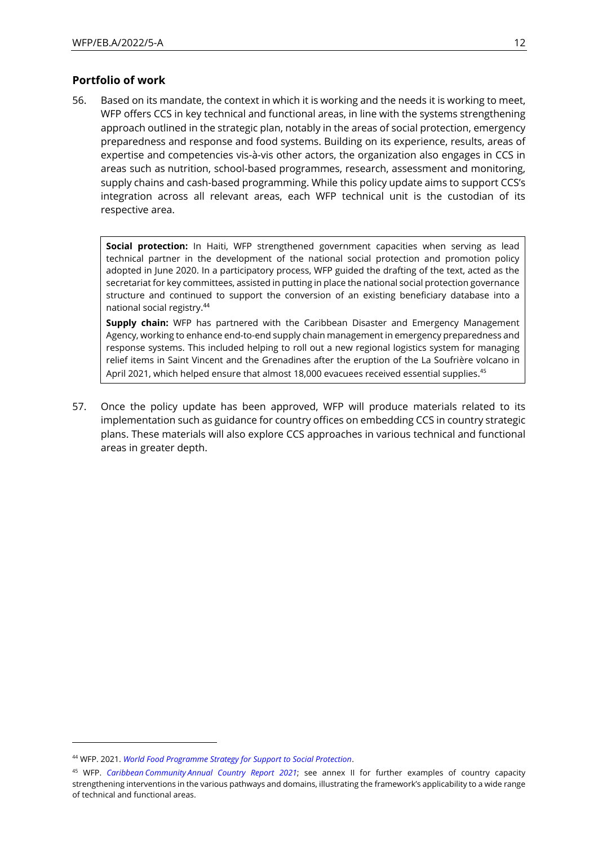### **Portfolio of work**

56. Based on its mandate, the context in which it is working and the needs it is working to meet, WFP offers CCS in key technical and functional areas, in line with the systems strengthening approach outlined in the strategic plan, notably in the areas of social protection, emergency preparedness and response and food systems. Building on its experience, results, areas of expertise and competencies vis-à-vis other actors, the organization also engages in CCS in areas such as nutrition, school-based programmes, research, assessment and monitoring, supply chains and cash-based programming. While this policy update aims to support CCS's integration across all relevant areas, each WFP technical unit is the custodian of its respective area.

**Social protection:** In Haiti, WFP strengthened government capacities when serving as lead technical partner in the development of the national social protection and promotion policy adopted in June 2020. In a participatory process, WFP guided the drafting of the text, acted as the secretariat for key committees, assisted in putting in place the national social protection governance structure and continued to support the conversion of an existing beneficiary database into a national social registry. 44

**Supply chain:** WFP has partnered with the Caribbean Disaster and Emergency Management Agency, working to enhance end-to-end supply chain management in emergency preparedness and response systems. This included helping to roll out a new regional logistics system for managing relief items in Saint Vincent and the Grenadines after the eruption of the La Soufrière volcano in April 2021, which helped ensure that almost 18,000 evacuees received essential supplies.<sup>45</sup>

57. Once the policy update has been approved, WFP will produce materials related to its implementation such as guidance for country offices on embedding CCS in country strategic plans. These materials will also explore CCS approaches in various technical and functional areas in greater depth.

<sup>44</sup> WFP. 2021. *[World Food Programme Strategy for Support to Social Protection](https://www.wfp.org/publications/world-food-programme-strategy-support-social-protection-2021)*.

<sup>45</sup> WFP. *Caribbean Community [Annual Country Report](https://docs.wfp.org/api/documents/WFP-0000138068/download/?_ga=2.153780664.1823381103.1651154336-571877103.1646120980) 2021*; see annex II for further examples of country capacity strengthening interventions in the various pathways and domains, illustrating the framework's applicability to a wide range of technical and functional areas.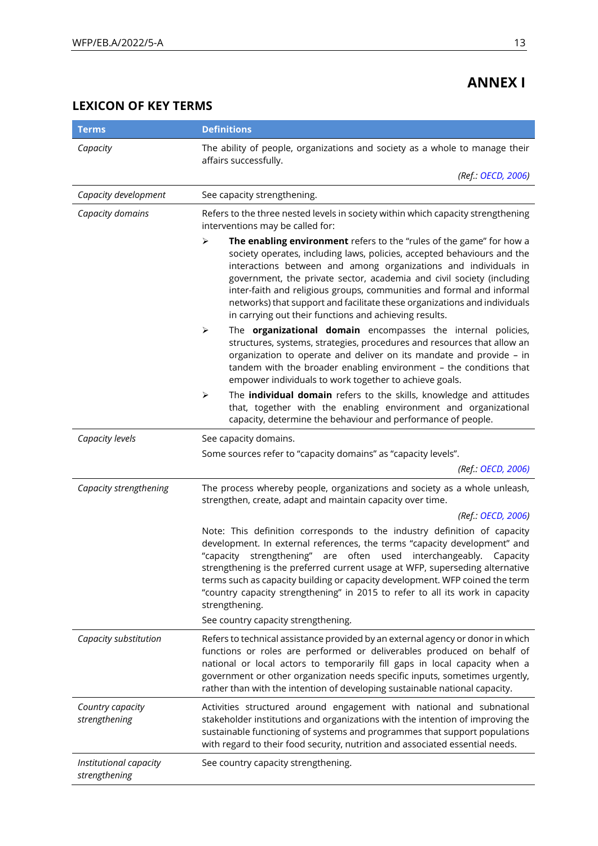## **ANNEX I**

## **LEXICON OF KEY TERMS**

| <b>Terms</b>                            | <b>Definitions</b>                                                                                                                                                                                                                                                                                                                                                                                                                                                                                                                   |  |  |
|-----------------------------------------|--------------------------------------------------------------------------------------------------------------------------------------------------------------------------------------------------------------------------------------------------------------------------------------------------------------------------------------------------------------------------------------------------------------------------------------------------------------------------------------------------------------------------------------|--|--|
| Capacity                                | The ability of people, organizations and society as a whole to manage their<br>affairs successfully.                                                                                                                                                                                                                                                                                                                                                                                                                                 |  |  |
|                                         | (Ref.: OECD, 2006)                                                                                                                                                                                                                                                                                                                                                                                                                                                                                                                   |  |  |
| Capacity development                    | See capacity strengthening.                                                                                                                                                                                                                                                                                                                                                                                                                                                                                                          |  |  |
| Capacity domains                        | Refers to the three nested levels in society within which capacity strengthening<br>interventions may be called for:                                                                                                                                                                                                                                                                                                                                                                                                                 |  |  |
|                                         | $\blacktriangleright$<br>The enabling environment refers to the "rules of the game" for how a<br>society operates, including laws, policies, accepted behaviours and the<br>interactions between and among organizations and individuals in<br>government, the private sector, academia and civil society (including<br>inter-faith and religious groups, communities and formal and informal<br>networks) that support and facilitate these organizations and individuals<br>in carrying out their functions and achieving results. |  |  |
|                                         | ➤<br>The organizational domain encompasses the internal policies,<br>structures, systems, strategies, procedures and resources that allow an<br>organization to operate and deliver on its mandate and provide - in<br>tandem with the broader enabling environment - the conditions that<br>empower individuals to work together to achieve goals.                                                                                                                                                                                  |  |  |
|                                         | $\blacktriangleright$<br>The individual domain refers to the skills, knowledge and attitudes<br>that, together with the enabling environment and organizational<br>capacity, determine the behaviour and performance of people.                                                                                                                                                                                                                                                                                                      |  |  |
| Capacity levels                         | See capacity domains.                                                                                                                                                                                                                                                                                                                                                                                                                                                                                                                |  |  |
|                                         | Some sources refer to "capacity domains" as "capacity levels".                                                                                                                                                                                                                                                                                                                                                                                                                                                                       |  |  |
|                                         | (Ref.: OECD, 2006)                                                                                                                                                                                                                                                                                                                                                                                                                                                                                                                   |  |  |
| Capacity strengthening                  | The process whereby people, organizations and society as a whole unleash,<br>strengthen, create, adapt and maintain capacity over time.                                                                                                                                                                                                                                                                                                                                                                                              |  |  |
|                                         | (Ref.: OECD, 2006)                                                                                                                                                                                                                                                                                                                                                                                                                                                                                                                   |  |  |
|                                         | Note: This definition corresponds to the industry definition of capacity<br>development. In external references, the terms "capacity development" and<br>strengthening" are often used interchangeably. Capacity<br>"capacity<br>strengthening is the preferred current usage at WFP, superseding alternative<br>terms such as capacity building or capacity development. WFP coined the term<br>"country capacity strengthening" in 2015 to refer to all its work in capacity<br>strengthening.                                     |  |  |
|                                         | See country capacity strengthening.                                                                                                                                                                                                                                                                                                                                                                                                                                                                                                  |  |  |
| Capacity substitution                   | Refers to technical assistance provided by an external agency or donor in which<br>functions or roles are performed or deliverables produced on behalf of<br>national or local actors to temporarily fill gaps in local capacity when a<br>government or other organization needs specific inputs, sometimes urgently,<br>rather than with the intention of developing sustainable national capacity.                                                                                                                                |  |  |
| Country capacity<br>strengthening       | Activities structured around engagement with national and subnational<br>stakeholder institutions and organizations with the intention of improving the<br>sustainable functioning of systems and programmes that support populations<br>with regard to their food security, nutrition and associated essential needs.                                                                                                                                                                                                               |  |  |
| Institutional capacity<br>strengthening | See country capacity strengthening.                                                                                                                                                                                                                                                                                                                                                                                                                                                                                                  |  |  |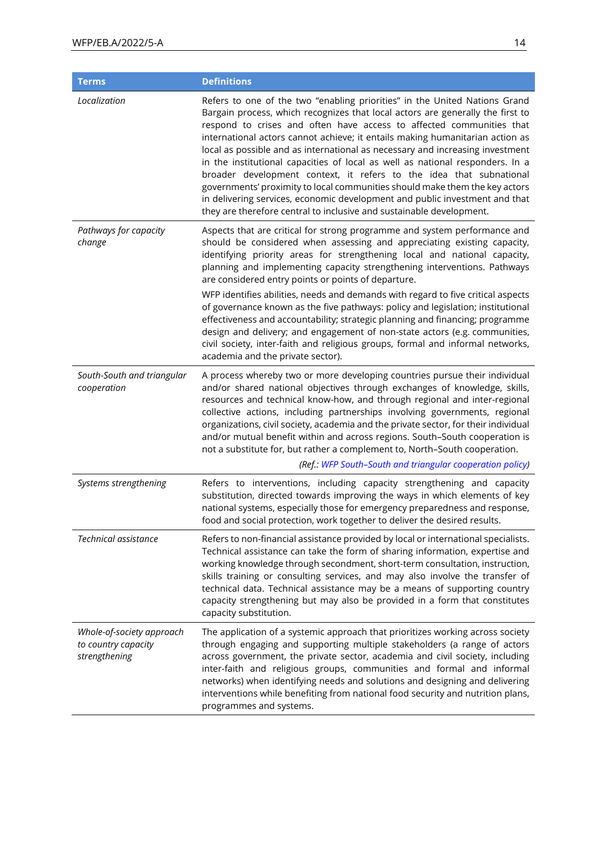| <b>Terms</b>                                                      | <b>Definitions</b>                                                                                                                                                                                                                                                                                                                                                                                                                                                                                                                                                                                                                                                                                                                                                                                   |
|-------------------------------------------------------------------|------------------------------------------------------------------------------------------------------------------------------------------------------------------------------------------------------------------------------------------------------------------------------------------------------------------------------------------------------------------------------------------------------------------------------------------------------------------------------------------------------------------------------------------------------------------------------------------------------------------------------------------------------------------------------------------------------------------------------------------------------------------------------------------------------|
| Localization                                                      | Refers to one of the two "enabling priorities" in the United Nations Grand<br>Bargain process, which recognizes that local actors are generally the first to<br>respond to crises and often have access to affected communities that<br>international actors cannot achieve; it entails making humanitarian action as<br>local as possible and as international as necessary and increasing investment<br>in the institutional capacities of local as well as national responders. In a<br>broader development context, it refers to the idea that subnational<br>governments' proximity to local communities should make them the key actors<br>in delivering services, economic development and public investment and that<br>they are therefore central to inclusive and sustainable development. |
| Pathways for capacity<br>change                                   | Aspects that are critical for strong programme and system performance and<br>should be considered when assessing and appreciating existing capacity,<br>identifying priority areas for strengthening local and national capacity,<br>planning and implementing capacity strengthening interventions. Pathways<br>are considered entry points or points of departure.                                                                                                                                                                                                                                                                                                                                                                                                                                 |
|                                                                   | WFP identifies abilities, needs and demands with regard to five critical aspects<br>of governance known as the five pathways: policy and legislation; institutional<br>effectiveness and accountability; strategic planning and financing; programme<br>design and delivery; and engagement of non-state actors (e.g. communities,<br>civil society, inter-faith and religious groups, formal and informal networks,<br>academia and the private sector).                                                                                                                                                                                                                                                                                                                                            |
| South-South and triangular<br>cooperation                         | A process whereby two or more developing countries pursue their individual<br>and/or shared national objectives through exchanges of knowledge, skills,<br>resources and technical know-how, and through regional and inter-regional<br>collective actions, including partnerships involving governments, regional<br>organizations, civil society, academia and the private sector, for their individual<br>and/or mutual benefit within and across regions. South-South cooperation is<br>not a substitute for, but rather a complement to, North-South cooperation.<br>(Ref.: WFP South-South and triangular cooperation policy)                                                                                                                                                                  |
| Systems strengthening                                             | Refers to interventions, including capacity strengthening and capacity<br>substitution, directed towards improving the ways in which elements of key<br>national systems, especially those for emergency preparedness and response,<br>food and social protection, work together to deliver the desired results.                                                                                                                                                                                                                                                                                                                                                                                                                                                                                     |
| Technical assistance                                              | Refers to non-financial assistance provided by local or international specialists.<br>Technical assistance can take the form of sharing information, expertise and<br>working knowledge through secondment, short-term consultation, instruction,<br>skills training or consulting services, and may also involve the transfer of<br>technical data. Technical assistance may be a means of supporting country<br>capacity strengthening but may also be provided in a form that constitutes<br>capacity substitution.                                                                                                                                                                                                                                                                               |
| Whole-of-society approach<br>to country capacity<br>strengthening | The application of a systemic approach that prioritizes working across society<br>through engaging and supporting multiple stakeholders (a range of actors<br>across government, the private sector, academia and civil society, including<br>inter-faith and religious groups, communities and formal and informal<br>networks) when identifying needs and solutions and designing and delivering<br>interventions while benefiting from national food security and nutrition plans,<br>programmes and systems.                                                                                                                                                                                                                                                                                     |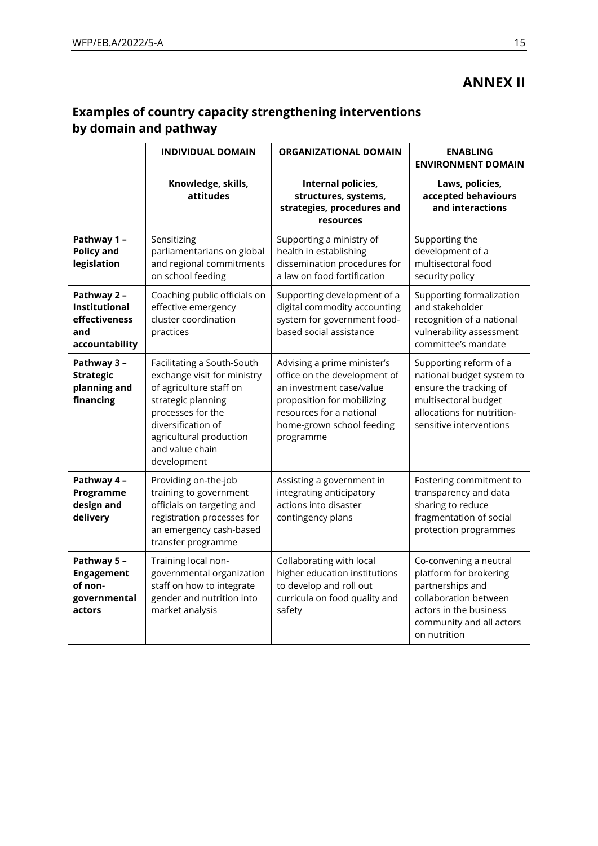## **ANNEX II**

## **Examples of country capacity strengthening interventions by domain and pathway**

|                                                                               | <b>INDIVIDUAL DOMAIN</b>                                                                                                                                                                                           | <b>ORGANIZATIONAL DOMAIN</b>                                                                                                                                                                | <b>ENABLING</b><br><b>ENVIRONMENT DOMAIN</b>                                                                                                                        |
|-------------------------------------------------------------------------------|--------------------------------------------------------------------------------------------------------------------------------------------------------------------------------------------------------------------|---------------------------------------------------------------------------------------------------------------------------------------------------------------------------------------------|---------------------------------------------------------------------------------------------------------------------------------------------------------------------|
|                                                                               | Knowledge, skills,<br>attitudes                                                                                                                                                                                    | Internal policies,<br>structures, systems,<br>strategies, procedures and<br>resources                                                                                                       | Laws, policies,<br>accepted behaviours<br>and interactions                                                                                                          |
| Pathway 1 -<br><b>Policy and</b><br>legislation                               | Sensitizing<br>parliamentarians on global<br>and regional commitments<br>on school feeding                                                                                                                         | Supporting a ministry of<br>health in establishing<br>dissemination procedures for<br>a law on food fortification                                                                           | Supporting the<br>development of a<br>multisectoral food<br>security policy                                                                                         |
| Pathway 2 -<br><b>Institutional</b><br>effectiveness<br>and<br>accountability | Coaching public officials on<br>effective emergency<br>cluster coordination<br>practices                                                                                                                           | Supporting development of a<br>digital commodity accounting<br>system for government food-<br>based social assistance                                                                       | Supporting formalization<br>and stakeholder<br>recognition of a national<br>vulnerability assessment<br>committee's mandate                                         |
| Pathway 3 -<br><b>Strategic</b><br>planning and<br>financing                  | Facilitating a South-South<br>exchange visit for ministry<br>of agriculture staff on<br>strategic planning<br>processes for the<br>diversification of<br>agricultural production<br>and value chain<br>development | Advising a prime minister's<br>office on the development of<br>an investment case/value<br>proposition for mobilizing<br>resources for a national<br>home-grown school feeding<br>programme | Supporting reform of a<br>national budget system to<br>ensure the tracking of<br>multisectoral budget<br>allocations for nutrition-<br>sensitive interventions      |
| Pathway 4 -<br>Programme<br>design and<br>delivery                            | Providing on-the-job<br>training to government<br>officials on targeting and<br>registration processes for<br>an emergency cash-based<br>transfer programme                                                        | Assisting a government in<br>integrating anticipatory<br>actions into disaster<br>contingency plans                                                                                         | Fostering commitment to<br>transparency and data<br>sharing to reduce<br>fragmentation of social<br>protection programmes                                           |
| Pathway 5 -<br><b>Engagement</b><br>of non-<br>governmental<br>actors         | Training local non-<br>governmental organization<br>staff on how to integrate<br>gender and nutrition into<br>market analysis                                                                                      | Collaborating with local<br>higher education institutions<br>to develop and roll out<br>curricula on food quality and<br>safety                                                             | Co-convening a neutral<br>platform for brokering<br>partnerships and<br>collaboration between<br>actors in the business<br>community and all actors<br>on nutrition |